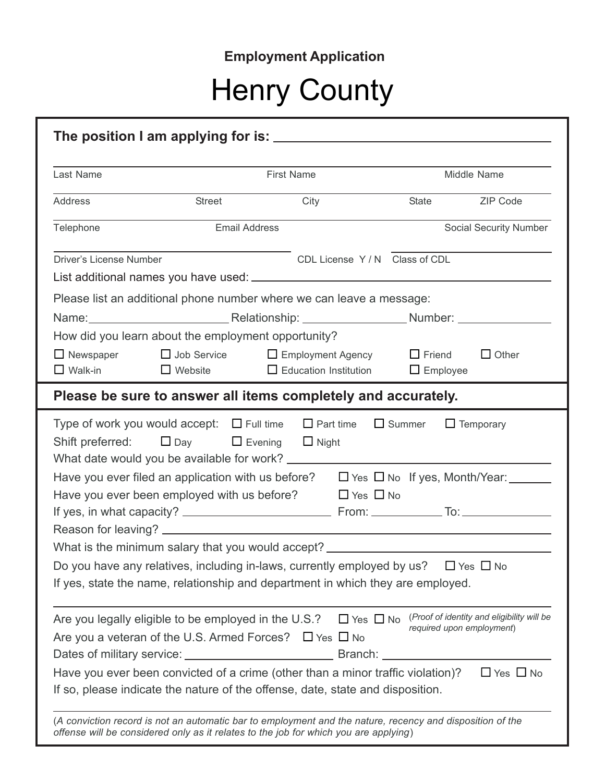## **Employment Application**

# Henry County

| Last Name               |                                                      | First Name                                                                                                                                                                                                                     | Middle Name                                                     |                        |
|-------------------------|------------------------------------------------------|--------------------------------------------------------------------------------------------------------------------------------------------------------------------------------------------------------------------------------|-----------------------------------------------------------------|------------------------|
| Address                 | City<br><b>Street</b>                                |                                                                                                                                                                                                                                | State ZIP Code                                                  |                        |
| Telephone               | <b>Email Address</b>                                 |                                                                                                                                                                                                                                |                                                                 | Social Security Number |
| Driver's License Number |                                                      | CDL License Y/N Class of CDL                                                                                                                                                                                                   |                                                                 |                        |
|                         |                                                      |                                                                                                                                                                                                                                |                                                                 |                        |
|                         |                                                      | Please list an additional phone number where we can leave a message:                                                                                                                                                           |                                                                 |                        |
|                         |                                                      | Name: Name: Name: Name: Number: Number: Number: Number: Number: Number: Number: Number: Number: Number: Number: Number: Number: Number: Number: Number: Number: Number: Number: Number: Number: Number: Number: Number: Number |                                                                 |                        |
|                         | How did you learn about the employment opportunity?  |                                                                                                                                                                                                                                |                                                                 |                        |
| $\Box$ Walk-in          | $\Box$ Website                                       | $\Box$ Newspaper $\Box$ Job Service $\Box$ Employment Agency<br>$\Box$ Education Institution                                                                                                                                   | $\Box$ Friend<br>$\Box$ Employee                                | $\Box$ Other           |
|                         |                                                      | Please be sure to answer all items completely and accurately.                                                                                                                                                                  |                                                                 |                        |
|                         |                                                      | Type of work you would accept: $\Box$ Full time $\Box$ Part time $\Box$ Summer                                                                                                                                                 |                                                                 |                        |
|                         |                                                      |                                                                                                                                                                                                                                |                                                                 | $\Box$ Temporary       |
| Shift preferred:        |                                                      | $\Box$ Day $\Box$ Evening $\Box$ Night                                                                                                                                                                                         |                                                                 |                        |
|                         |                                                      |                                                                                                                                                                                                                                |                                                                 |                        |
|                         |                                                      | Have you ever filed an application with us before? $\Box$ Yes $\Box$ No If yes, Month/Year: _______                                                                                                                            |                                                                 |                        |
|                         |                                                      | Have you ever been employed with us before? $\Box$ Yes $\Box$ No                                                                                                                                                               |                                                                 |                        |
|                         |                                                      |                                                                                                                                                                                                                                |                                                                 |                        |
|                         |                                                      |                                                                                                                                                                                                                                |                                                                 |                        |
|                         |                                                      | What is the minimum salary that you would accept? ______________________________                                                                                                                                               |                                                                 |                        |
|                         |                                                      | Do you have any relatives, including in-laws, currently employed by us? $\Box$ Yes $\Box$ No<br>If yes, state the name, relationship and department in which they are employed.                                                |                                                                 |                        |
|                         |                                                      |                                                                                                                                                                                                                                |                                                                 |                        |
|                         | Are you legally eligible to be employed in the U.S.? |                                                                                                                                                                                                                                | $\Box$ Yes $\Box$ No (Proof of identity and eligibility will be |                        |
|                         |                                                      | Are you a veteran of the U.S. Armed Forces? $\Box$ Yes $\Box$ No                                                                                                                                                               | required upon employment)                                       |                        |
|                         |                                                      |                                                                                                                                                                                                                                |                                                                 |                        |
|                         |                                                      | Have you ever been convicted of a crime (other than a minor traffic violation)?                                                                                                                                                |                                                                 | $\Box$ Yes $\Box$ No   |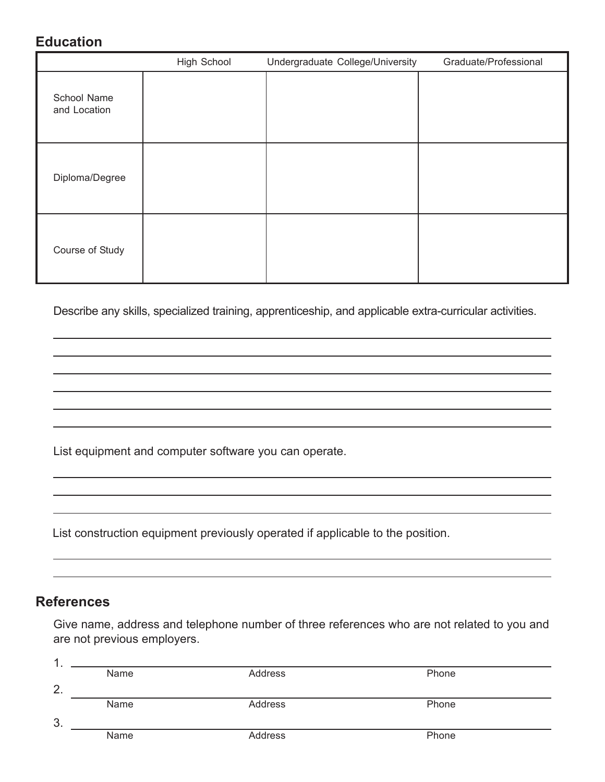#### **Education**

|                             | <b>High School</b> | Undergraduate College/University | Graduate/Professional |
|-----------------------------|--------------------|----------------------------------|-----------------------|
| School Name<br>and Location |                    |                                  |                       |
| Diploma/Degree              |                    |                                  |                       |
| Course of Study             |                    |                                  |                       |

Describe any skills, specialized training, apprenticeship, and applicable extra-curricular activities.

List equipment and computer software you can operate.

List construction equipment previously operated if applicable to the position.

#### **References**

Give name, address and telephone number of three references who are not related to you and are not previous employers.

| -1 |      |         |       |  |
|----|------|---------|-------|--|
|    | Name | Address | Phone |  |
| 2. |      |         |       |  |
|    | Name | Address | Phone |  |
| 3. |      |         |       |  |
|    | Name | Address | Phone |  |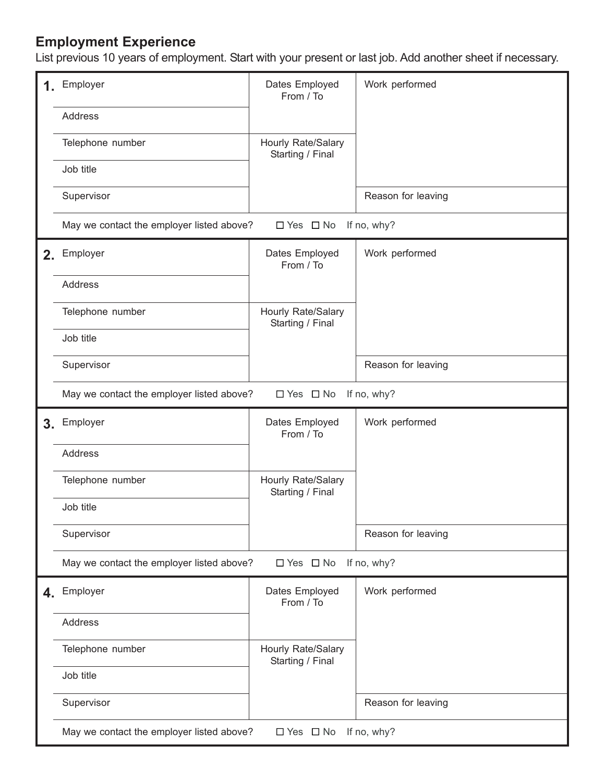#### **Employment Experience**

List previous 10 years of employment. Start with your present or last job. Add another sheet if necessary.

| 1.             | Employer                                                                         | Dates Employed<br>From / To            | Work performed     |
|----------------|----------------------------------------------------------------------------------|----------------------------------------|--------------------|
|                | <b>Address</b>                                                                   |                                        |                    |
|                | Telephone number                                                                 | Hourly Rate/Salary<br>Starting / Final |                    |
|                | Job title                                                                        |                                        |                    |
|                | Supervisor                                                                       |                                        | Reason for leaving |
|                | May we contact the employer listed above?                                        | $\Box$ Yes $\Box$ No                   | If no, why?        |
| 2.             | Employer                                                                         | Dates Employed<br>From / To            | Work performed     |
|                | <b>Address</b>                                                                   |                                        |                    |
|                | Telephone number                                                                 | Hourly Rate/Salary<br>Starting / Final |                    |
|                | Job title                                                                        |                                        |                    |
|                | Supervisor                                                                       |                                        | Reason for leaving |
|                | May we contact the employer listed above?                                        | $\Box$ Yes $\Box$ No                   | If no, why?        |
| 3 <sub>1</sub> | Employer                                                                         | Dates Employed<br>From / To            | Work performed     |
|                | Address                                                                          |                                        |                    |
|                | Telephone number                                                                 | Hourly Rate/Salary<br>Starting / Final |                    |
|                | Job title                                                                        |                                        |                    |
|                | Supervisor                                                                       |                                        | Reason for leaving |
|                | May we contact the employer listed above?<br>$\Box$ Yes $\Box$ No<br>If no, why? |                                        |                    |
| 4.             | Employer                                                                         | Dates Employed<br>From / To            | Work performed     |
|                | Address                                                                          |                                        |                    |
|                | Telephone number                                                                 | Hourly Rate/Salary<br>Starting / Final |                    |
|                | Job title                                                                        |                                        |                    |
|                | Supervisor                                                                       |                                        | Reason for leaving |
|                | May we contact the employer listed above?                                        | $\Box$ Yes $\Box$ No                   | If no, why?        |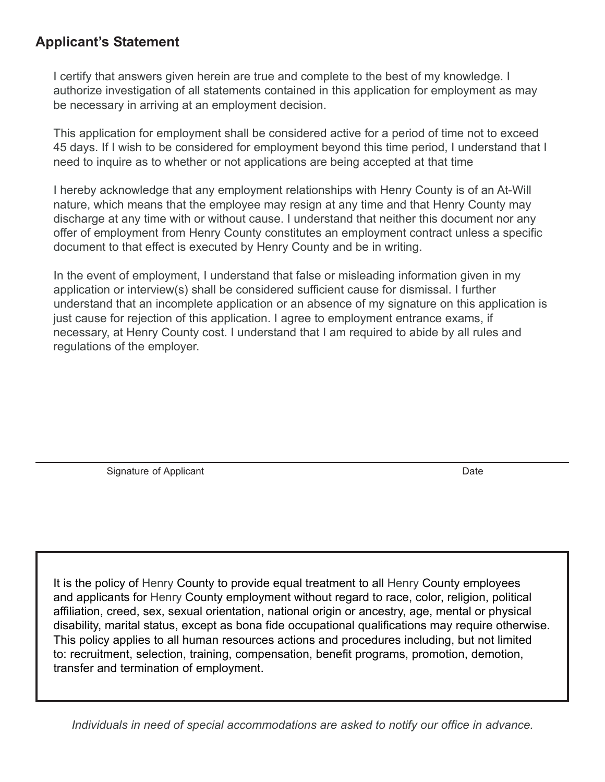#### **Applicant's Statement**

I certify that answers given herein are true and complete to the best of my knowledge. I authorize investigation of all statements contained in this application for employment as may be necessary in arriving at an employment decision.

This application for employment shall be considered active for a period of time not to exceed 45 days. If I wish to be considered for employment beyond this time period, I understand that I need to inquire as to whether or not applications are being accepted at that time

I hereby acknowledge that any employment relationships with Henry County is of an At-Will nature, which means that the employee may resign at any time and that Henry County may discharge at any time with or without cause. I understand that neither this document nor any offer of employment from Henry County constitutes an employment contract unless a specific document to that effect is executed by Henry County and be in writing.

In the event of employment, I understand that false or misleading information given in my application or interview(s) shall be considered sufficient cause for dismissal. I further understand that an incomplete application or an absence of my signature on this application is just cause for rejection of this application. I agree to employment entrance exams, if necessary, at Henry County cost. I understand that I am required to abide by all rules and regulations of the employer.

Signature of Applicant **Date** Date of Applicant **Date of Applicant** Date of Applicant **Date** 

It is the policy of Henry County to provide equal treatment to all Henry County employees and applicants for Henry County employment without regard to race, color, religion, political affiliation, creed, sex, sexual orientation, national origin or ancestry, age, mental or physical disability, marital status, except as bona fide occupational qualifications may require otherwise. This policy applies to all human resources actions and procedures including, but not limited to: recruitment, selection, training, compensation, benefit programs, promotion, demotion, transfer and termination of employment.

*Individuals in need of special accommodations are asked to notify our office in advance.*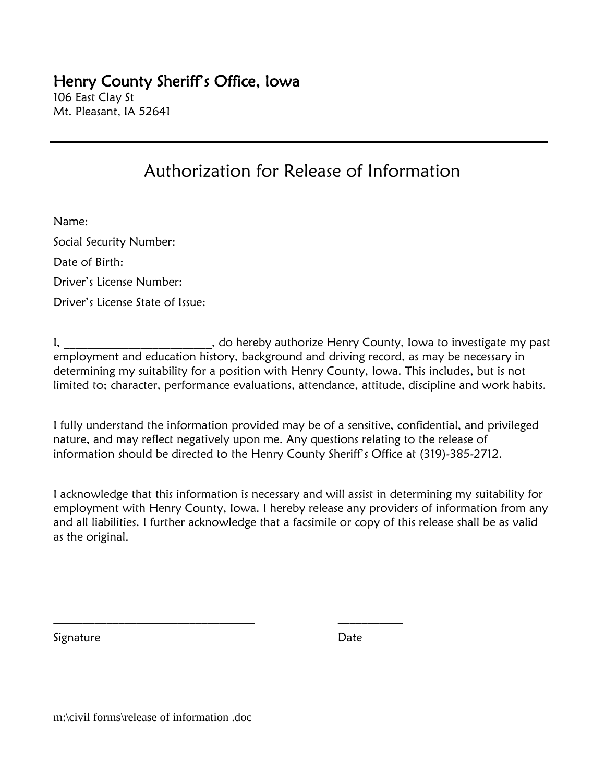# Henry County Sheriff's Office, Iowa

106 East Clay St Mt. Pleasant, IA 52641

### Authorization for Release of Information

Name: Social Security Number: Date of Birth: Driver's License Number: Driver's License State of Issue:

I, **I** and the same of the reby authorize Henry County, Iowa to investigate my past employment and education history, background and driving record, as may be necessary in determining my suitability for a position with Henry County, Iowa. This includes, but is not limited to; character, performance evaluations, attendance, attitude, discipline and work habits.

I fully understand the information provided may be of a sensitive, confidential, and privileged nature, and may reflect negatively upon me. Any questions relating to the release of information should be directed to the Henry County Sheriff's Office at (319)-385-2712.

I acknowledge that this information is necessary and will assist in determining my suitability for employment with Henry County, Iowa. I hereby release any providers of information from any and all liabilities. I further acknowledge that a facsimile or copy of this release shall be as valid as the original.

 $\mathcal{L}_\text{max}$  , and the set of the set of the set of the set of the set of the set of the set of the set of the set of the set of the set of the set of the set of the set of the set of the set of the set of the set of the

Signature **Date** 

m:\civil forms\release of information .doc